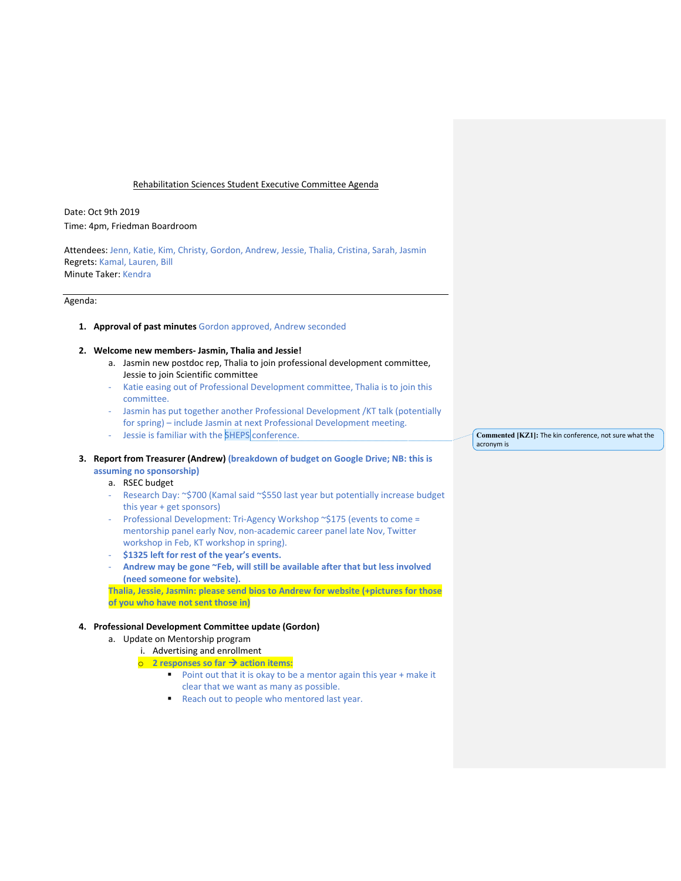### Rehabilitation Sciences Student Executive Committee Agenda

Date: Oct 9th 2019 Time: 4pm, Friedman Boardroom

Attendees: Jenn, Katie, Kim, Christy, Gordon, Andrew, Jessie, Thalia, Cristina, Sarah, Jasmin Regrets: Kamal, Lauren, Bill Minute Taker: Kendra

# Agenda:

### **1. Approval of past minutes** Gordon approved, Andrew seconded

## **2. Welcome new members- Jasmin, Thalia and Jessie!**

- a. Jasmin new postdoc rep, Thalia to join professional development committee, Jessie to join Scientific committee
- Katie easing out of Professional Development committee, Thalia is to join this committee.
- Jasmin has put together another Professional Development /KT talk (potentially for spring) – include Jasmin at next Professional Development meeting.
- Jessie is familiar with the SHEPS conference.
- **3. Report from Treasurer (Andrew) (breakdown of budget on Google Drive; NB: this is** 
	- **assuming no sponsorship)**

# a. RSEC budget

- Research Day: ~\$700 (Kamal said ~\$550 last year but potentially increase budget this year + get sponsors)
- Professional Development: Tri-Agency Workshop ~\$175 (events to come = mentorship panel early Nov, non-academic career panel late Nov, Twitter workshop in Feb, KT workshop in spring).
- **\$1325 left for rest of the year's events.**
- **Andrew may be gone ~Feb, will still be available after that but less involved (need someone for website).**

**Thalia, Jessie, Jasmin: please send bios to Andrew for website (+pictures for those of you who have not sent those in)**

## **4. Professional Development Committee update (Gordon)**

a. Update on Mentorship program

## i. Advertising and enrollment

- o **2 responses so far** à **action items:**
	- Point out that it is okay to be a mentor again this year + make it clear that we want as many as possible.
	- Reach out to people who mentored last year.

**Commented [KZ1]:** The kin conference, not sure what the acronym is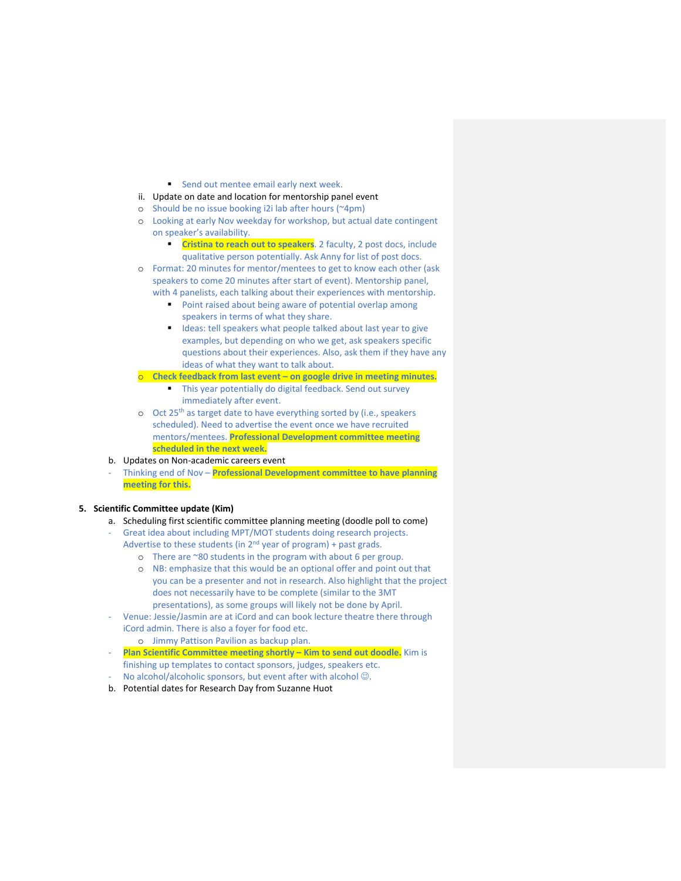- Send out mentee email early next week.
- ii. Update on date and location for mentorship panel event
- o Should be no issue booking i2i lab after hours (~4pm)
- o Looking at early Nov weekday for workshop, but actual date contingent on speaker's availability.
	- **Cristina to reach out to speakers**. 2 faculty, 2 post docs, include qualitative person potentially. Ask Anny for list of post docs.
- o Format: 20 minutes for mentor/mentees to get to know each other (ask speakers to come 20 minutes after start of event). Mentorship panel, with 4 panelists, each talking about their experiences with mentorship.
	- Point raised about being aware of potential overlap among speakers in terms of what they share.
	- Ideas: tell speakers what people talked about last year to give examples, but depending on who we get, ask speakers specific questions about their experiences. Also, ask them if they have any ideas of what they want to talk about.
- Check feedback from last event on google drive in meeting minutes.
	- This year potentially do digital feedback. Send out survey immediately after event.
- o Oct 25th as target date to have everything sorted by (i.e., speakers scheduled). Need to advertise the event once we have recruited mentors/mentees. **Professional Development committee meeting scheduled in the next week.**
- b. Updates on Non-academic careers event
- Thinking end of Nov **Professional Development committee to have planning meeting for this.**

**5. Scientific Committee update (Kim)**

- a. Scheduling first scientific committee planning meeting (doodle poll to come)
- Great idea about including MPT/MOT students doing research projects. Advertise to these students (in  $2^{nd}$  year of program) + past grads.
	- o There are ~80 students in the program with about 6 per group.
	- o NB: emphasize that this would be an optional offer and point out that you can be a presenter and not in research. Also highlight that the project does not necessarily have to be complete (similar to the 3MT presentations), as some groups will likely not be done by April.
- Venue: Jessie/Jasmin are at iCord and can book lecture theatre there through iCord admin. There is also a foyer for food etc.
	- o Jimmy Pattison Pavilion as backup plan.
- **Plan Scientific Committee meeting shortly – Kim to send out doodle.** Kim is finishing up templates to contact sponsors, judges, speakers etc.
- No alcohol/alcoholic sponsors, but event after with alcohol  $\odot$ . b. Potential dates for Research Day from Suzanne Huot